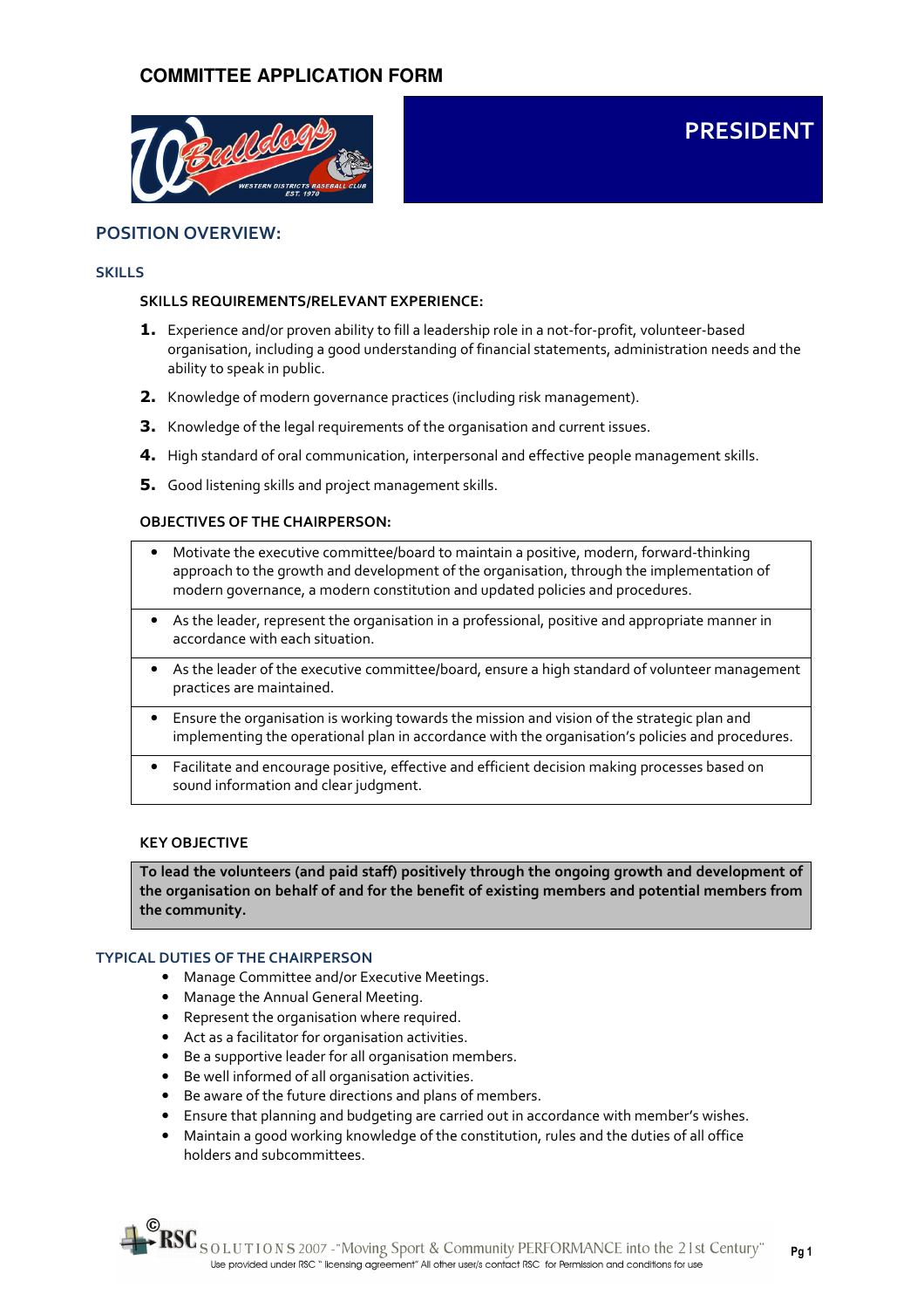

# POSITION OVERVIEW:

#### SKILLS

#### SKILLS REQUIREMENTS/RELEVANT EXPERIENCE:

**1.** Experience and/or proven ability to fill a leadership role in a not-for-profit, volunteer-based organisation, including a good understanding of financial statements, administration needs and the ability to speak in public.

PRESIDENT

- 2. Knowledge of modern governance practices (including risk management).
- **3.** Knowledge of the legal requirements of the organisation and current issues.
- 4. High standard of oral communication, interpersonal and effective people management skills.
- **5.** Good listening skills and project management skills.

## OBJECTIVES OF THE CHAIRPERSON:

- Motivate the executive committee/board to maintain a positive, modern, forward-thinking approach to the growth and development of the organisation, through the implementation of modern governance, a modern constitution and updated policies and procedures.
- As the leader, represent the organisation in a professional, positive and appropriate manner in accordance with each situation.
- As the leader of the executive committee/board, ensure a high standard of volunteer management practices are maintained.
- Ensure the organisation is working towards the mission and vision of the strategic plan and implementing the operational plan in accordance with the organisation's policies and procedures.
- Facilitate and encourage positive, effective and efficient decision making processes based on sound information and clear judgment.

#### KEY OBJECTIVE

To lead the volunteers (and paid staff) positively through the ongoing growth and development of the organisation on behalf of and for the benefit of existing members and potential members from the community.

#### TYPICAL DUTIES OF THE CHAIRPERSON

- Manage Committee and/or Executive Meetings.
- Manage the Annual General Meeting.
- Represent the organisation where required.
- Act as a facilitator for organisation activities.
- Be a supportive leader for all organisation members.
- Be well informed of all organisation activities.
- Be aware of the future directions and plans of members.
- Ensure that planning and budgeting are carried out in accordance with member's wishes.
- Maintain a good working knowledge of the constitution, rules and the duties of all office holders and subcommittees.

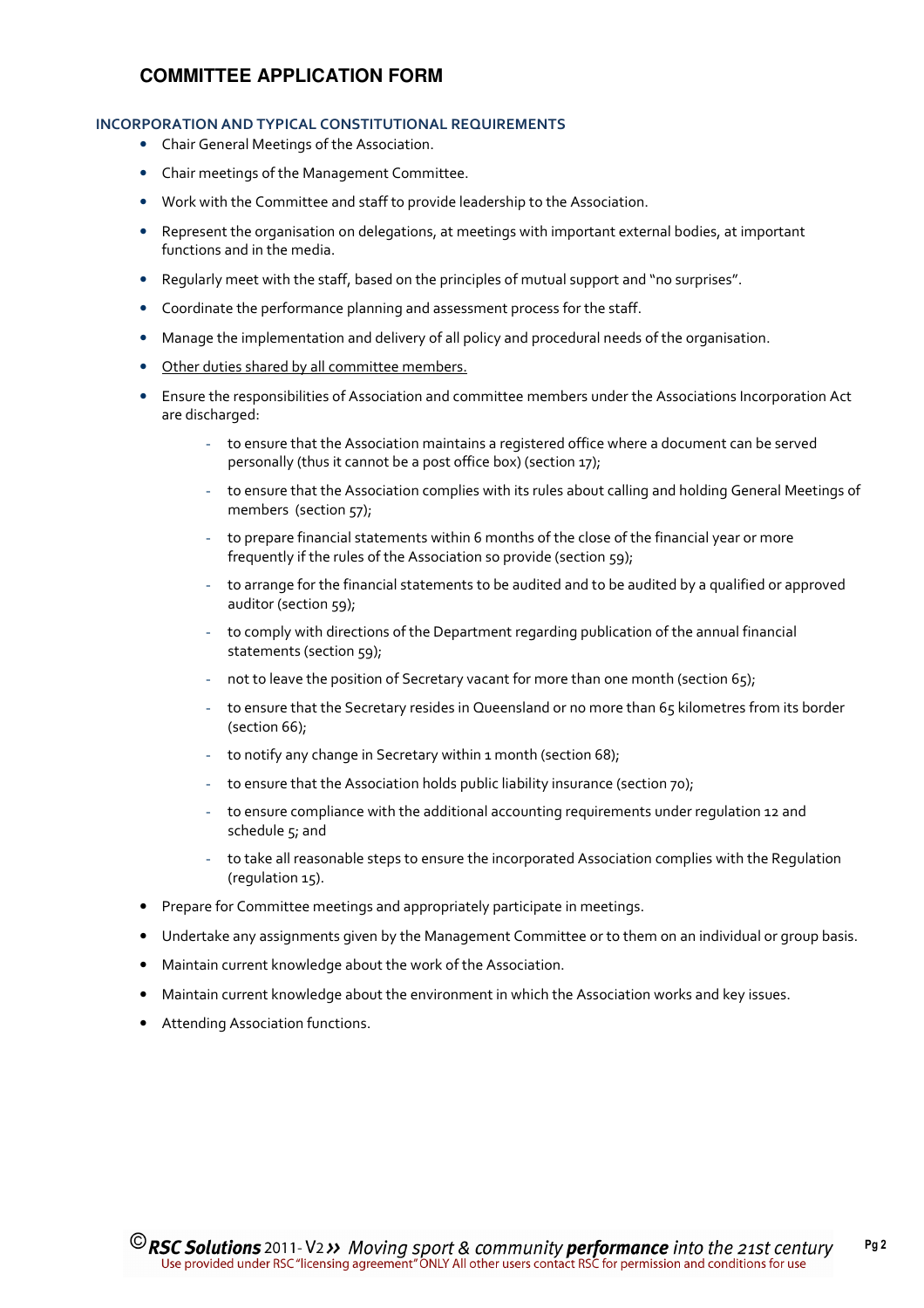#### INCORPORATION AND TYPICAL CONSTITUTIONAL REQUIREMENTS

- Chair General Meetings of the Association.
- Chair meetings of the Management Committee.
- Work with the Committee and staff to provide leadership to the Association.
- Represent the organisation on delegations, at meetings with important external bodies, at important functions and in the media.
- Regularly meet with the staff, based on the principles of mutual support and "no surprises".
- Coordinate the performance planning and assessment process for the staff.
- Manage the implementation and delivery of all policy and procedural needs of the organisation.
- Other duties shared by all committee members.
- Ensure the responsibilities of Association and committee members under the Associations Incorporation Act are discharged:
	- to ensure that the Association maintains a registered office where a document can be served personally (thus it cannot be a post office box) (section 17);
	- to ensure that the Association complies with its rules about calling and holding General Meetings of members (section 57);
	- to prepare financial statements within 6 months of the close of the financial year or more frequently if the rules of the Association so provide (section 59);
	- to arrange for the financial statements to be audited and to be audited by a qualified or approved auditor (section 59);
	- to comply with directions of the Department regarding publication of the annual financial statements (section 59);
	- not to leave the position of Secretary vacant for more than one month (section 65);
	- to ensure that the Secretary resides in Queensland or no more than 65 kilometres from its border (section 66);
	- to notify any change in Secretary within 1 month (section 68);
	- to ensure that the Association holds public liability insurance (section 70);
	- to ensure compliance with the additional accounting requirements under regulation 12 and schedule  $5$ ; and
	- to take all reasonable steps to ensure the incorporated Association complies with the Regulation (regulation 15).
- Prepare for Committee meetings and appropriately participate in meetings.
- Undertake any assignments given by the Management Committee or to them on an individual or group basis.
- Maintain current knowledge about the work of the Association.
- Maintain current knowledge about the environment in which the Association works and key issues.
- Attending Association functions.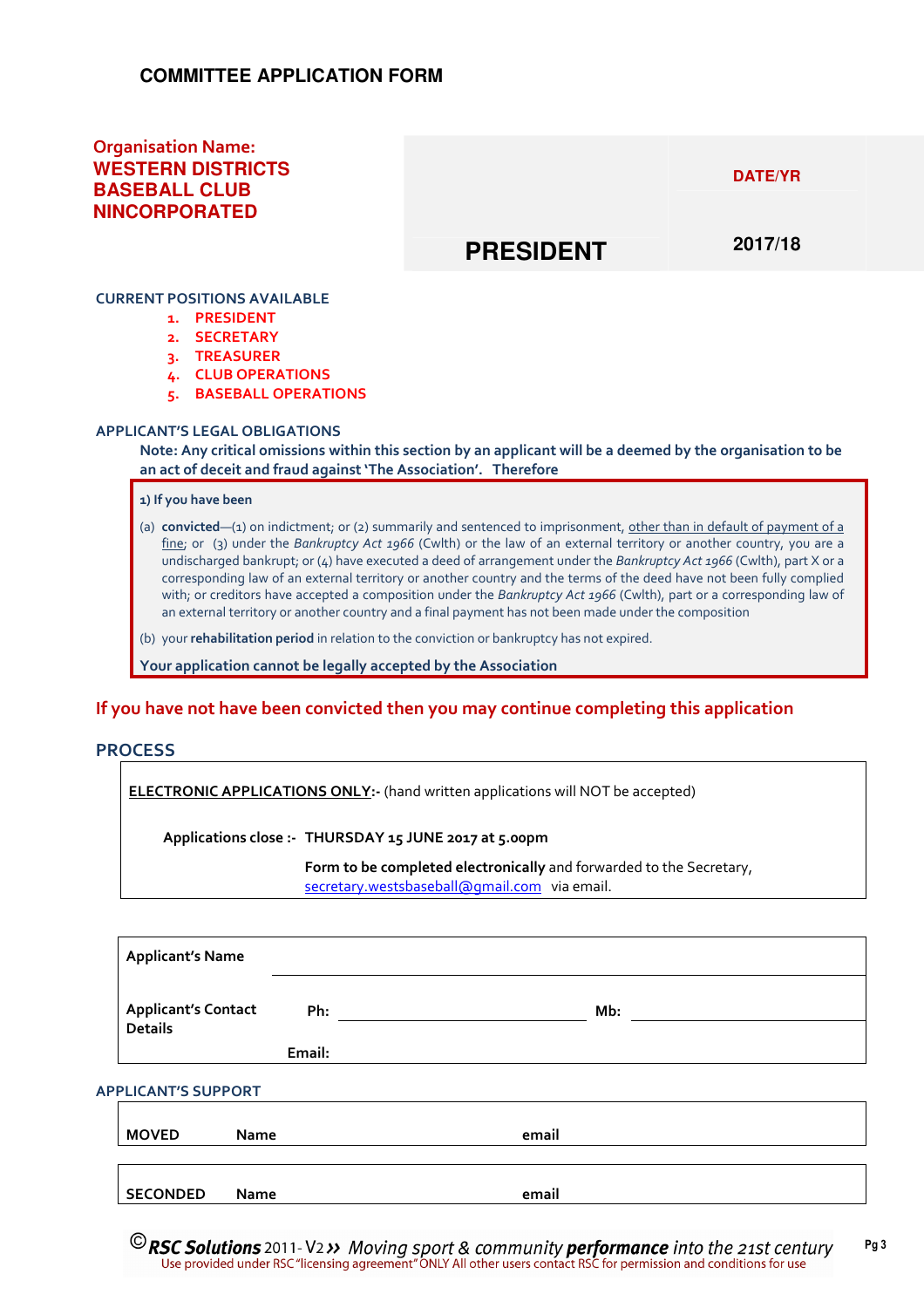# Organisation Name: **WESTERN DISTRICTS BASEBALL CLUB NINCORPORATED**

**DATE/YR** 

# **PRESIDENT**

**2017/18** 

## CURRENT POSITIONS AVAILABLE

- 1. PRESIDENT
- 2. SECRETARY
- 3. TREASURER
- 4. CLUB OPERATIONS
- 5. BASEBALL OPERATIONS

#### APPLICANT'S LEGAL OBLIGATIONS

Note: Any critical omissions within this section by an applicant will be a deemed by the organisation to be an act of deceit and fraud against 'The Association'. Therefore

1) If you have been

- (a) convicted— $(1)$  on indictment; or (2) summarily and sentenced to imprisonment, other than in default of payment of a fine; or (3) under the Bankruptcy Act 1966 (Cwlth) or the law of an external territory or another country, you are a undischarged bankrupt; or (4) have executed a deed of arrangement under the Bankruptcy Act 1966 (Cwlth), part X or a corresponding law of an external territory or another country and the terms of the deed have not been fully complied with; or creditors have accepted a composition under the Bankruptcy Act 1966 (Cwlth), part or a corresponding law of an external territory or another country and a final payment has not been made under the composition
- (b) your rehabilitation period in relation to the conviction or bankruptcy has not expired.

Your application cannot be legally accepted by the Association

# If you have not have been convicted then you may continue completing this application

## **PROCESS**

ELECTRONIC APPLICATIONS ONLY:- (hand written applications will NOT be accepted)

Applications close :- THURSDAY 15 JUNE 2017 at 5.00pm

Form to be completed electronically and forwarded to the Secretary, secretary.westsbaseball@gmail.com via email.

|                            | <b>Applicant's Name</b>                      |        |       |  |  |  |  |
|----------------------------|----------------------------------------------|--------|-------|--|--|--|--|
|                            | <b>Applicant's Contact</b><br><b>Details</b> | Ph:    | Mb:   |  |  |  |  |
|                            |                                              | Email: |       |  |  |  |  |
| <b>APPLICANT'S SUPPORT</b> |                                              |        |       |  |  |  |  |
|                            | <b>MOVED</b><br><b>Name</b>                  |        | email |  |  |  |  |
|                            |                                              |        |       |  |  |  |  |

SECONDED Name email

 $\odot$  RSC Solutions 2011-V2 >> Moving sport & community performance into the 21st century Pg 3 Use provided under RSC "licensing agreement" ONLY All other users contact RSC for permission and conditions for use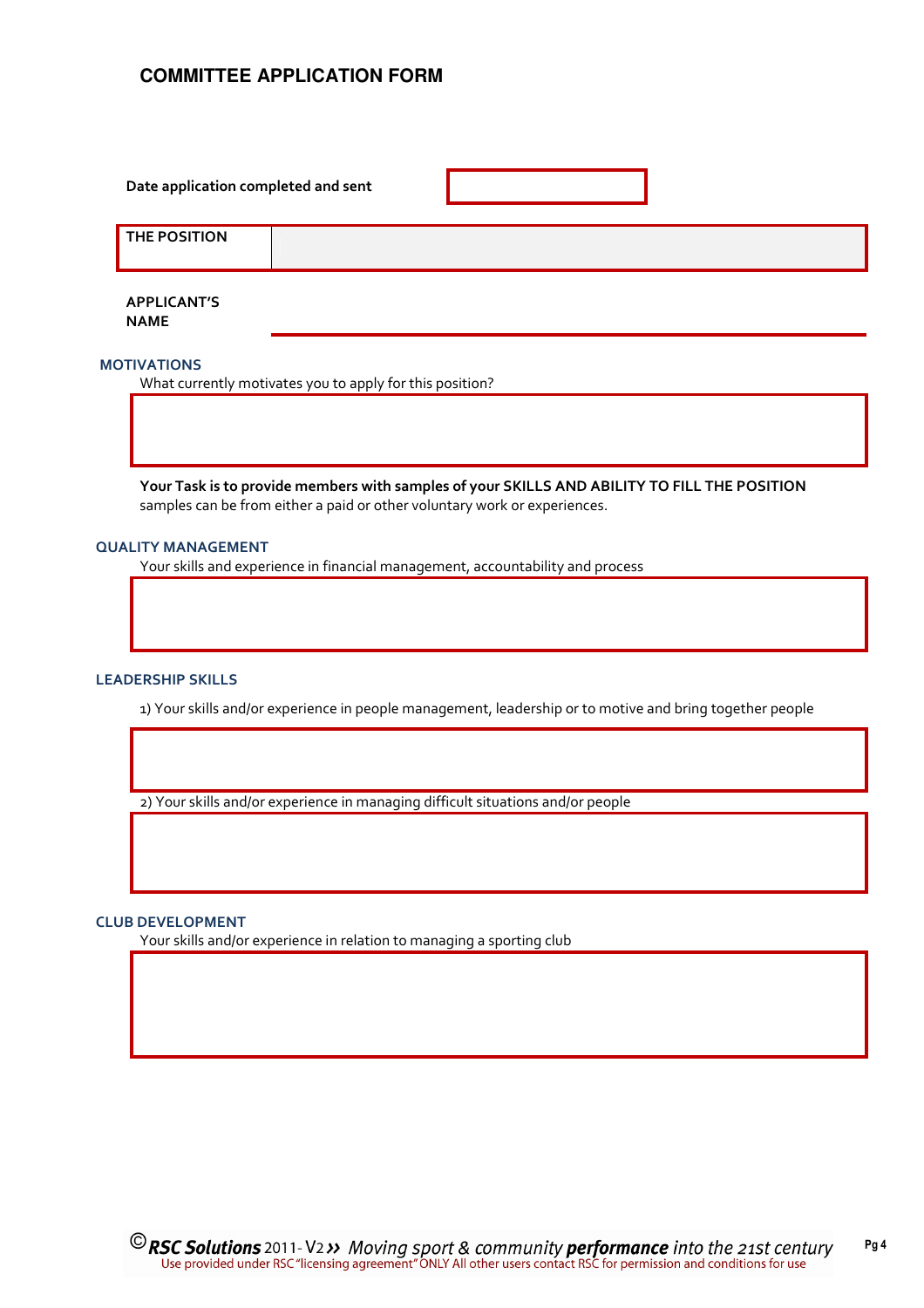| Date application completed and sent |  |  |
|-------------------------------------|--|--|
| <b>THE POSITION</b>                 |  |  |
|                                     |  |  |

APPLICANT'S NAME

## MOTIVATIONS

What currently motivates you to apply for this position?

Your Task is to provide members with samples of your SKILLS AND ABILITY TO FILL THE POSITION samples can be from either a paid or other voluntary work or experiences.

#### QUALITY MANAGEMENT

Your skills and experience in financial management, accountability and process

#### LEADERSHIP SKILLS

1) Your skills and/or experience in people management, leadership or to motive and bring together people

2) Your skills and/or experience in managing difficult situations and/or people

#### CLUB DEVELOPMENT

Your skills and/or experience in relation to managing a sporting club